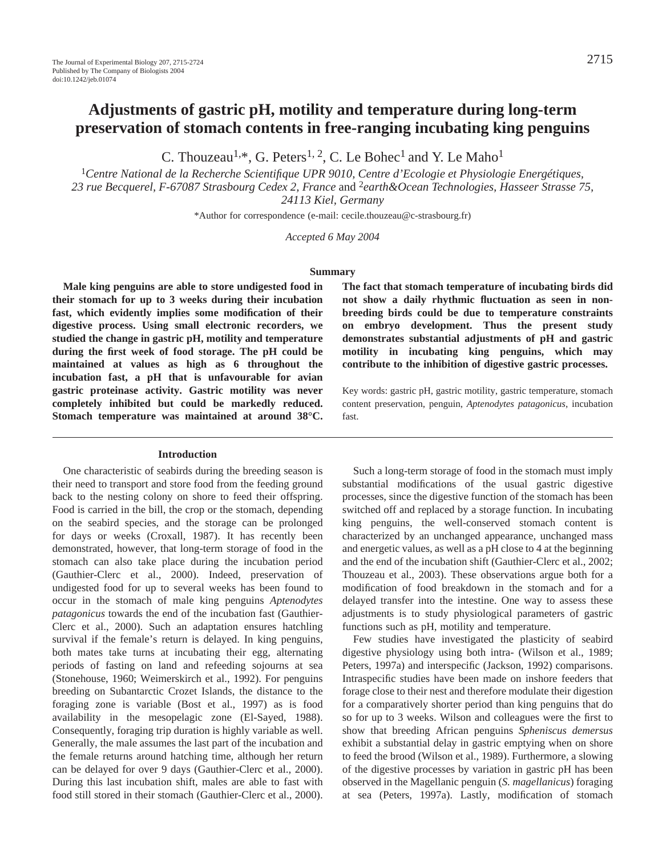# **Adjustments of gastric pH, motility and temperature during long-term preservation of stomach contents in free-ranging incubating king penguins**

C. Thouzeau<sup>1,\*</sup>, G. Peters<sup>1, 2</sup>, C. Le Bohec<sup>1</sup> and Y. Le Maho<sup>1</sup>

<sup>1</sup>*Centre National de la Recherche Scientifique UPR 9010, Centre d'Ecologie et Physiologie Energétiques, 23 rue Becquerel, F-67087 Strasbourg Cedex 2, France* and 2*earth&Ocean Technologies, Hasseer Strasse 75, 24113 Kiel, Germany*

\*Author for correspondence (e-mail: cecile.thouzeau@c-strasbourg.fr)

*Accepted 6 May 2004*

#### **Summary**

**Male king penguins are able to store undigested food in their stomach for up to 3 weeks during their incubation fast, which evidently implies some modification of their digestive process. Using small electronic recorders, we studied the change in gastric pH, motility and temperature during the first week of food storage. The pH could be maintained at values as high as 6 throughout the incubation fast, a pH that is unfavourable for avian gastric proteinase activity. Gastric motility was never completely inhibited but could be markedly reduced. Stomach temperature was maintained at around 38°C.**

#### **Introduction**

One characteristic of seabirds during the breeding season is their need to transport and store food from the feeding ground back to the nesting colony on shore to feed their offspring. Food is carried in the bill, the crop or the stomach, depending on the seabird species, and the storage can be prolonged for days or weeks (Croxall, 1987). It has recently been demonstrated, however, that long-term storage of food in the stomach can also take place during the incubation period (Gauthier-Clerc et al., 2000). Indeed, preservation of undigested food for up to several weeks has been found to occur in the stomach of male king penguins *Aptenodytes patagonicus* towards the end of the incubation fast (Gauthier-Clerc et al., 2000). Such an adaptation ensures hatchling survival if the female's return is delayed. In king penguins, both mates take turns at incubating their egg, alternating periods of fasting on land and refeeding sojourns at sea (Stonehouse, 1960; Weimerskirch et al., 1992). For penguins breeding on Subantarctic Crozet Islands, the distance to the foraging zone is variable (Bost et al., 1997) as is food availability in the mesopelagic zone (El-Sayed, 1988). Consequently, foraging trip duration is highly variable as well. Generally, the male assumes the last part of the incubation and the female returns around hatching time, although her return can be delayed for over 9 days (Gauthier-Clerc et al., 2000). During this last incubation shift, males are able to fast with food still stored in their stomach (Gauthier-Clerc et al., 2000).

**The fact that stomach temperature of incubating birds did not show a daily rhythmic fluctuation as seen in nonbreeding birds could be due to temperature constraints on embryo development. Thus the present study demonstrates substantial adjustments of pH and gastric motility in incubating king penguins, which may contribute to the inhibition of digestive gastric processes.**

Key words: gastric pH, gastric motility, gastric temperature, stomach content preservation, penguin, *Aptenodytes patagonicus*, incubation fast.

Such a long-term storage of food in the stomach must imply substantial modifications of the usual gastric digestive processes, since the digestive function of the stomach has been switched off and replaced by a storage function. In incubating king penguins, the well-conserved stomach content is characterized by an unchanged appearance, unchanged mass and energetic values, as well as a pH close to 4 at the beginning and the end of the incubation shift (Gauthier-Clerc et al., 2002; Thouzeau et al., 2003). These observations argue both for a modification of food breakdown in the stomach and for a delayed transfer into the intestine. One way to assess these adjustments is to study physiological parameters of gastric functions such as pH, motility and temperature.

Few studies have investigated the plasticity of seabird digestive physiology using both intra- (Wilson et al., 1989; Peters, 1997a) and interspecific (Jackson, 1992) comparisons. Intraspecific studies have been made on inshore feeders that forage close to their nest and therefore modulate their digestion for a comparatively shorter period than king penguins that do so for up to 3 weeks. Wilson and colleagues were the first to show that breeding African penguins *Spheniscus demersus* exhibit a substantial delay in gastric emptying when on shore to feed the brood (Wilson et al., 1989). Furthermore, a slowing of the digestive processes by variation in gastric pH has been observed in the Magellanic penguin (*S. magellanicus*) foraging at sea (Peters, 1997a). Lastly, modification of stomach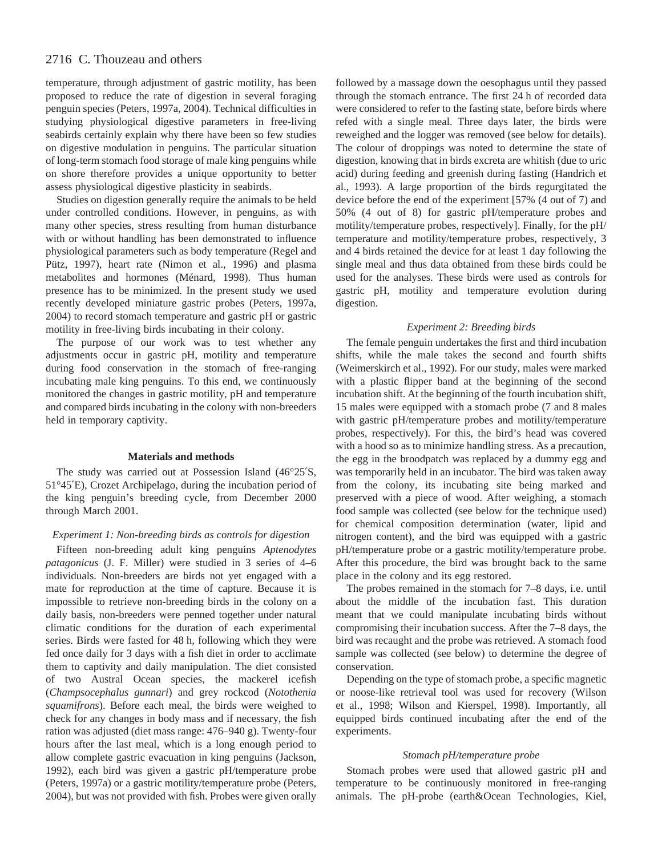temperature, through adjustment of gastric motility, has been proposed to reduce the rate of digestion in several foraging penguin species (Peters, 1997a, 2004). Technical difficulties in studying physiological digestive parameters in free-living seabirds certainly explain why there have been so few studies on digestive modulation in penguins. The particular situation of long-term stomach food storage of male king penguins while on shore therefore provides a unique opportunity to better assess physiological digestive plasticity in seabirds.

Studies on digestion generally require the animals to be held under controlled conditions. However, in penguins, as with many other species, stress resulting from human disturbance with or without handling has been demonstrated to influence physiological parameters such as body temperature (Regel and Pütz, 1997), heart rate (Nimon et al., 1996) and plasma metabolites and hormones (Ménard, 1998). Thus human presence has to be minimized. In the present study we used recently developed miniature gastric probes (Peters, 1997a, 2004) to record stomach temperature and gastric pH or gastric motility in free-living birds incubating in their colony.

The purpose of our work was to test whether any adjustments occur in gastric pH, motility and temperature during food conservation in the stomach of free-ranging incubating male king penguins. To this end, we continuously monitored the changes in gastric motility, pH and temperature and compared birds incubating in the colony with non-breeders held in temporary captivity.

# **Materials and methods**

The study was carried out at Possession Island (46°25′S, 51°45′E), Crozet Archipelago, during the incubation period of the king penguin's breeding cycle, from December 2000 through March 2001.

# *Experiment 1: Non-breeding birds as controls for digestion*

Fifteen non-breeding adult king penguins *Aptenodytes patagonicus* (J. F. Miller) were studied in 3 series of 4–6 individuals. Non-breeders are birds not yet engaged with a mate for reproduction at the time of capture. Because it is impossible to retrieve non-breeding birds in the colony on a daily basis, non-breeders were penned together under natural climatic conditions for the duration of each experimental series. Birds were fasted for 48 h, following which they were fed once daily for 3 days with a fish diet in order to acclimate them to captivity and daily manipulation. The diet consisted of two Austral Ocean species, the mackerel icefish (*Champsocephalus gunnari*) and grey rockcod (*Notothenia squamifrons*). Before each meal, the birds were weighed to check for any changes in body mass and if necessary, the fish ration was adjusted (diet mass range: 476-940 g). Twenty-four hours after the last meal, which is a long enough period to allow complete gastric evacuation in king penguins (Jackson, 1992), each bird was given a gastric pH/temperature probe (Peters, 1997a) or a gastric motility/temperature probe (Peters, 2004), but was not provided with fish. Probes were given orally

followed by a massage down the oesophagus until they passed through the stomach entrance. The first 24 h of recorded data were considered to refer to the fasting state, before birds where refed with a single meal. Three days later, the birds were reweighed and the logger was removed (see below for details). The colour of droppings was noted to determine the state of digestion, knowing that in birds excreta are whitish (due to uric acid) during feeding and greenish during fasting (Handrich et al., 1993). A large proportion of the birds regurgitated the device before the end of the experiment [57% (4 out of 7) and 50% (4 out of 8) for gastric pH/temperature probes and motility/temperature probes, respectively]. Finally, for the pH/ temperature and motility/temperature probes, respectively, 3 and 4 birds retained the device for at least 1 day following the single meal and thus data obtained from these birds could be used for the analyses. These birds were used as controls for gastric pH, motility and temperature evolution during digestion.

### *Experiment 2: Breeding birds*

The female penguin undertakes the first and third incubation shifts, while the male takes the second and fourth shifts (Weimerskirch et al., 1992). For our study, males were marked with a plastic flipper band at the beginning of the second incubation shift. At the beginning of the fourth incubation shift, 15 males were equipped with a stomach probe (7 and 8 males with gastric pH/temperature probes and motility/temperature probes, respectively). For this, the bird's head was covered with a hood so as to minimize handling stress. As a precaution, the egg in the broodpatch was replaced by a dummy egg and was temporarily held in an incubator. The bird was taken away from the colony, its incubating site being marked and preserved with a piece of wood. After weighing, a stomach food sample was collected (see below for the technique used) for chemical composition determination (water, lipid and nitrogen content), and the bird was equipped with a gastric pH/temperature probe or a gastric motility/temperature probe. After this procedure, the bird was brought back to the same place in the colony and its egg restored.

The probes remained in the stomach for 7–8 days, i.e. until about the middle of the incubation fast. This duration meant that we could manipulate incubating birds without compromising their incubation success. After the 7–8 days, the bird was recaught and the probe was retrieved. A stomach food sample was collected (see below) to determine the degree of conservation.

Depending on the type of stomach probe, a specific magnetic or noose-like retrieval tool was used for recovery (Wilson et al., 1998; Wilson and Kierspel, 1998). Importantly, all equipped birds continued incubating after the end of the experiments.

#### *Stomach pH/temperature probe*

Stomach probes were used that allowed gastric pH and temperature to be continuously monitored in free-ranging animals. The pH-probe (earth&Ocean Technologies, Kiel,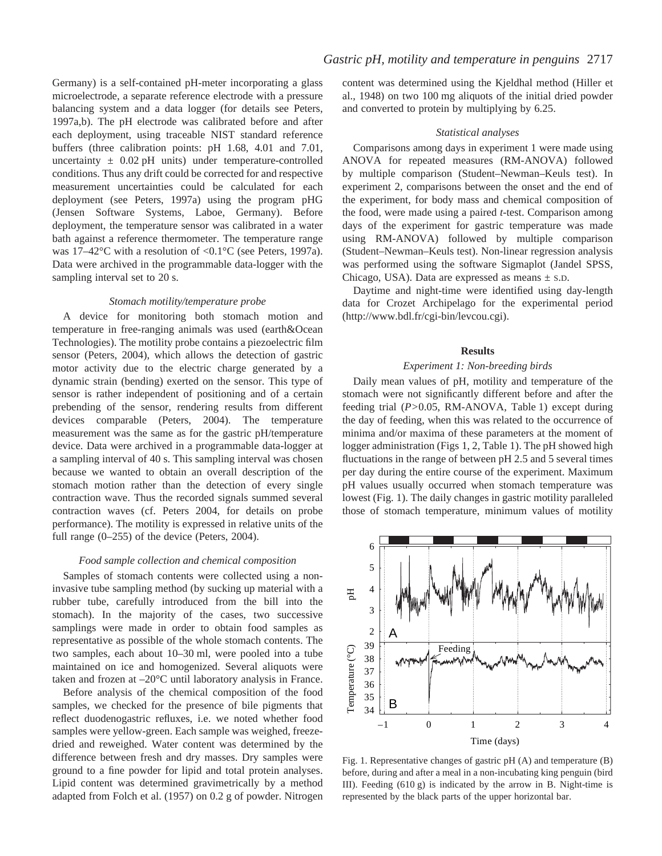Germany) is a self-contained pH-meter incorporating a glass microelectrode, a separate reference electrode with a pressure balancing system and a data logger (for details see Peters, 1997a,b). The pH electrode was calibrated before and after each deployment, using traceable NIST standard reference buffers (three calibration points: pH 1.68, 4.01 and 7.01, uncertainty  $\pm$  0.02 pH units) under temperature-controlled conditions. Thus any drift could be corrected for and respective measurement uncertainties could be calculated for each deployment (see Peters, 1997a) using the program pHG (Jensen Software Systems, Laboe, Germany). Before deployment, the temperature sensor was calibrated in a water bath against a reference thermometer. The temperature range was 17–42°C with a resolution of <0.1°C (see Peters, 1997a). Data were archived in the programmable data-logger with the sampling interval set to 20 s.

#### *Stomach motility/temperature probe*

A device for monitoring both stomach motion and temperature in free-ranging animals was used (earth&Ocean Technologies). The motility probe contains a piezoelectric film sensor (Peters, 2004), which allows the detection of gastric motor activity due to the electric charge generated by a dynamic strain (bending) exerted on the sensor. This type of sensor is rather independent of positioning and of a certain prebending of the sensor, rendering results from different devices comparable (Peters, 2004). The temperature measurement was the same as for the gastric pH/temperature device. Data were archived in a programmable data-logger at a sampling interval of 40 s. This sampling interval was chosen because we wanted to obtain an overall description of the stomach motion rather than the detection of every single contraction wave. Thus the recorded signals summed several contraction waves (cf. Peters 2004, for details on probe performance). The motility is expressed in relative units of the full range (0–255) of the device (Peters, 2004).

#### *Food sample collection and chemical composition*

Samples of stomach contents were collected using a noninvasive tube sampling method (by sucking up material with a rubber tube, carefully introduced from the bill into the stomach). In the majority of the cases, two successive samplings were made in order to obtain food samples as representative as possible of the whole stomach contents. The two samples, each about 10–30 ml, were pooled into a tube maintained on ice and homogenized. Several aliquots were taken and frozen at –20°C until laboratory analysis in France.

Before analysis of the chemical composition of the food samples, we checked for the presence of bile pigments that reflect duodenogastric refluxes, i.e. we noted whether food samples were yellow-green. Each sample was weighed, freezedried and reweighed. Water content was determined by the difference between fresh and dry masses. Dry samples were ground to a fine powder for lipid and total protein analyses. Lipid content was determined gravimetrically by a method adapted from Folch et al. (1957) on 0.2 g of powder. Nitrogen

content was determined using the Kjeldhal method (Hiller et al., 1948) on two 100 mg aliquots of the initial dried powder and converted to protein by multiplying by 6.25.

#### *Statistical analyses*

Comparisons among days in experiment 1 were made using ANOVA for repeated measures (RM-ANOVA) followed by multiple comparison (Student–Newman–Keuls test). In experiment 2, comparisons between the onset and the end of the experiment, for body mass and chemical composition of the food, were made using a paired *t*-test. Comparison among days of the experiment for gastric temperature was made using RM-ANOVA) followed by multiple comparison (Student–Newman–Keuls test). Non-linear regression analysis was performed using the software Sigmaplot (Jandel SPSS, Chicago, USA). Data are expressed as means  $\pm$  s.p.

Daytime and night-time were identified using day-length data for Crozet Archipelago for the experimental period (http://www.bdl.fr/cgi-bin/levcou.cgi).

# **Results**

#### *Experiment 1: Non-breeding birds*

Daily mean values of pH, motility and temperature of the stomach were not significantly different before and after the feeding trial (*P*>0.05, RM-ANOVA, Table 1) except during the day of feeding, when this was related to the occurrence of minima and/or maxima of these parameters at the moment of logger administration (Figs 1, 2, Table 1). The pH showed high fluctuations in the range of between pH 2.5 and 5 several times per day during the entire course of the experiment. Maximum pH values usually occurred when stomach temperature was lowest (Fig. 1). The daily changes in gastric motility paralleled those of stomach temperature, minimum values of motility



Fig. 1. Representative changes of gastric  $pH(A)$  and temperature  $(B)$ before, during and after a meal in a non-incubating king penguin (bird III). Feeding  $(610 \text{ g})$  is indicated by the arrow in B. Night-time is represented by the black parts of the upper horizontal bar.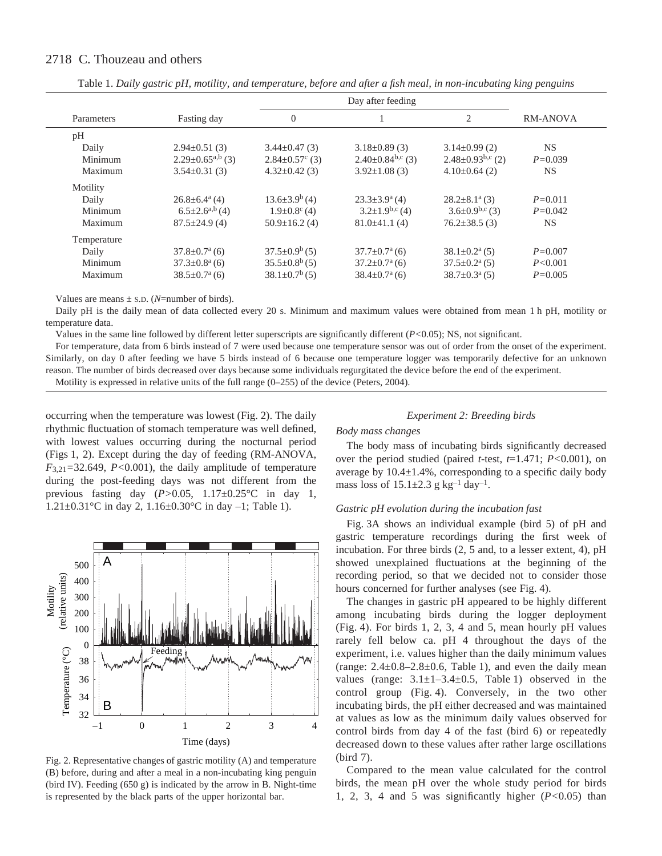|             |                                   | Day after feeding                |                                  |                                    |             |  |
|-------------|-----------------------------------|----------------------------------|----------------------------------|------------------------------------|-------------|--|
| Parameters  | Fasting day                       | $\overline{0}$                   |                                  | 2                                  | RM-ANOVA    |  |
| pH          |                                   |                                  |                                  |                                    |             |  |
| Daily       | $2.94 \pm 0.51(3)$                | $3.44 \pm 0.47$ (3)              | $3.18\pm0.89(3)$                 | $3.14\pm0.99(2)$                   | <b>NS</b>   |  |
| Minimum     | $2.29 \pm 0.65^{a,b}$ (3)         | $2.84 \pm 0.57$ ° (3)            | $2.40\pm0.84^{b,c}$ (3)          | $2.48 \pm 0.93$ <sup>b,c</sup> (2) | $P=0.039$   |  |
| Maximum     | $3.54 \pm 0.31(3)$                | $4.32 \pm 0.42$ (3)              | $3.92 \pm 1.08$ (3)              | $4.10\pm0.64(2)$                   | <b>NS</b>   |  |
| Motility    |                                   |                                  |                                  |                                    |             |  |
| Daily       | $26.8 \pm 6.4$ <sup>a</sup> $(4)$ | $13.6 \pm 3.9^b(4)$              | $23.3 \pm 3.9^{\circ}$ (4)       | $28.2 \pm 8.1$ <sup>a</sup> $(3)$  | $P=0.011$   |  |
| Minimum     | $6.5 \pm 2.6^{a,b}$ (4)           | $1.9 \pm 0.8$ <sup>c</sup> $(4)$ | $3.2 \pm 1.9$ <sup>b,c</sup> (4) | $3.6\pm0.9^{b,c}$ (3)              | $P = 0.042$ |  |
| Maximum     | $87.5 \pm 24.9$ (4)               | $50.9 \pm 16.2$ (4)              | $81.0\pm41.1(4)$                 | $76.2 \pm 38.5$ (3)                | <b>NS</b>   |  |
| Temperature |                                   |                                  |                                  |                                    |             |  |
| Daily       | $37.8 \pm 0.7$ <sup>a</sup> (6)   | $37.5 \pm 0.9^b(5)$              | $37.7 \pm 0.7^{\mathrm{a}}$ (6)  | $38.1 \pm 0.2^{\mathrm{a}}(5)$     | $P = 0.007$ |  |
| Minimum     | $37.3 \pm 0.8^{\circ}$ (6)        | $35.5 \pm 0.8^{\rm b}$ (5)       | $37.2 \pm 0.7$ <sup>a</sup> (6)  | $37.5 \pm 0.2^{\mathrm{a}}(5)$     | P < 0.001   |  |
| Maximum     | $38.5 \pm 0.7^{\circ}$ (6)        | $38.1 \pm 0.7^{b}$ (5)           | $38.4 \pm 0.7$ <sup>a</sup> (6)  | $38.7 \pm 0.3^{\circ}$ (5)         | $P = 0.005$ |  |

Table 1. Daily gastric pH, motility, and temperature, before and after a fish meal, in non-incubating king penguins

Values are means  $\pm$  s.D. (*N*=number of birds).

Daily pH is the daily mean of data collected every 20 s. Minimum and maximum values were obtained from mean 1 h pH, motility or temperature data.

Values in the same line followed by different letter superscripts are significantly different (*P<*0.05); NS, not significant.

For temperature, data from 6 birds instead of 7 were used because one temperature sensor was out of order from the onset of the experiment. Similarly, on day 0 after feeding we have 5 birds instead of 6 because one temperature logger was temporarily defective for an unknown reason. The number of birds decreased over days because some individuals regurgitated the device before the end of the experiment. Motility is expressed in relative units of the full range (0–255) of the device (Peters, 2004).

occurring when the temperature was lowest (Fig. 2). The daily rhythmic fluctuation of stomach temperature was well defined, with lowest values occurring during the nocturnal period (Figs·1, 2). Except during the day of feeding (RM-ANOVA, *F*3,21*=*32.649, *P<*0.001), the daily amplitude of temperature during the post-feeding days was not different from the previous fasting day (*P>*0.05, 1.17±0.25°C in day 1, 1.21 $\pm$ 0.31°C in day 2, 1.16 $\pm$ 0.30°C in day -1; Table 1).



Fig. 2. Representative changes of gastric motility  $(A)$  and temperature (B) before, during and after a meal in a non-incubating king penguin (bird IV). Feeding  $(650 \text{ g})$  is indicated by the arrow in B. Night-time is represented by the black parts of the upper horizontal bar.

#### *Experiment 2: Breeding birds*

#### *Body mass changes*

The body mass of incubating birds significantly decreased over the period studied (paired *t*-test, *t*=1.471; *P<*0.001), on average by  $10.4 \pm 1.4$ %, corresponding to a specific daily body mass loss of  $15.1 \pm 2.3$  g kg<sup>-1</sup> day<sup>-1</sup>.

#### *Gastric pH evolution during the incubation fast*

Fig. 3A shows an individual example (bird 5) of pH and gastric temperature recordings during the first week of incubation. For three birds (2, 5 and, to a lesser extent, 4), pH showed unexplained fluctuations at the beginning of the recording period, so that we decided not to consider those hours concerned for further analyses (see Fig. 4).

The changes in gastric pH appeared to be highly different among incubating birds during the logger deployment (Fig. 4). For birds  $1, 2, 3, 4$  and  $5$ , mean hourly pH values rarely fell below ca. pH 4 throughout the days of the experiment, i.e. values higher than the daily minimum values (range:  $2.4\pm0.8-2.8\pm0.6$ , Table 1), and even the daily mean values (range:  $3.1 \pm 1 - 3.4 \pm 0.5$ , Table 1) observed in the control group  $(Fig. 4)$ . Conversely, in the two other incubating birds, the pH either decreased and was maintained at values as low as the minimum daily values observed for control birds from day 4 of the fast (bird 6) or repeatedly decreased down to these values after rather large oscillations (bird 7).

Compared to the mean value calculated for the control birds, the mean pH over the whole study period for birds 1, 2, 3, 4 and 5 was significantly higher (*P<*0.05) than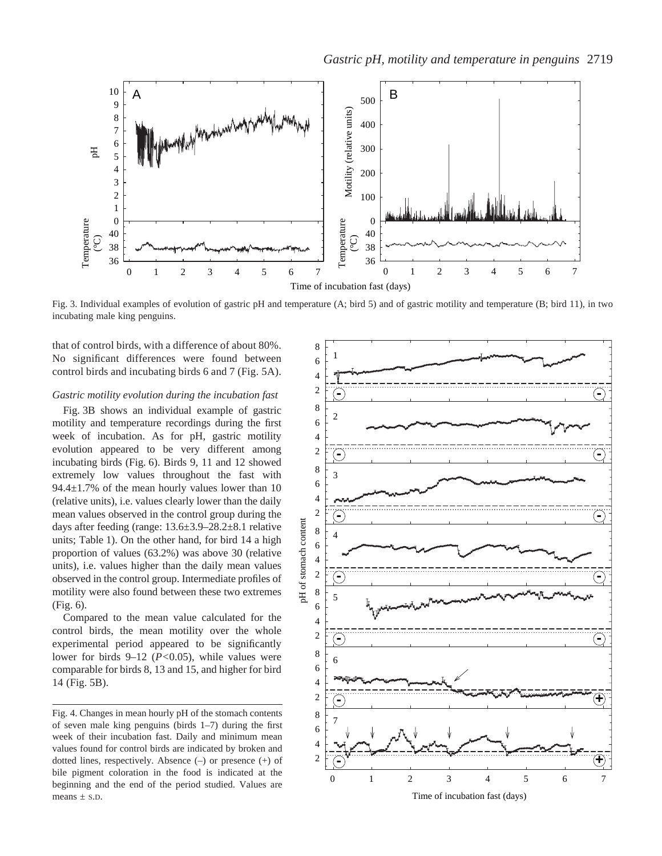

Fig. 3. Individual examples of evolution of gastric pH and temperature (A; bird 5) and of gastric motility and temperature (B; bird 11), in two incubating male king penguins.

that of control birds, with a difference of about 80%. No significant differences were found between control birds and incubating birds 6 and 7 (Fig. 5A).

### *Gastric motility evolution during the incubation fast*

Fig. 3B shows an individual example of gastric motility and temperature recordings during the first week of incubation. As for pH, gastric motility evolution appeared to be very different among incubating birds (Fig. 6). Birds 9, 11 and 12 showed extremely low values throughout the fast with  $94.4 \pm 1.7$ % of the mean hourly values lower than 10 (relative units), i.e. values clearly lower than the daily mean values observed in the control group during the days after feeding (range: 13.6±3.9–28.2±8.1 relative units; Table 1). On the other hand, for bird 14 a high proportion of values (63.2%) was above 30 (relative units), i.e. values higher than the daily mean values observed in the control group. Intermediate profiles of motility were also found between these two extremes  $(Fig. 6)$ .

Compared to the mean value calculated for the control birds, the mean motility over the whole experimental period appeared to be significantly lower for birds 9–12 (*P<*0.05), while values were comparable for birds 8, 13 and 15, and higher for bird 14 (Fig. 5B).

Fig. 4. Changes in mean hourly pH of the stomach contents of seven male king penguins (birds 1–7) during the first week of their incubation fast. Daily and minimum mean values found for control birds are indicated by broken and dotted lines, respectively. Absence (–) or presence (+) of bile pigment coloration in the food is indicated at the beginning and the end of the period studied. Values are means  $\pm$  S.D.

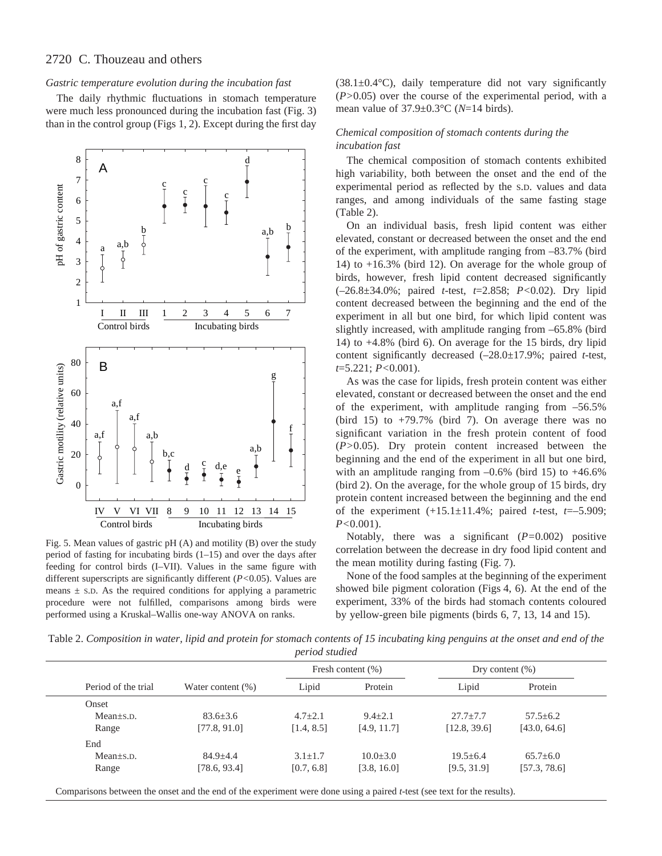# *Gastric temperature evolution during the incubation fast*

The daily rhythmic fluctuations in stomach temperature were much less pronounced during the incubation fast (Fig. 3) than in the control group (Figs  $1, 2$ ). Except during the first day



Fig. 5. Mean values of gastric pH (A) and motility (B) over the study period of fasting for incubating birds (1–15) and over the days after feeding for control birds (I–VII). Values in the same figure with different superscripts are significantly different (*P<*0.05). Values are means  $\pm$  s.D. As the required conditions for applying a parametric procedure were not fulfilled, comparisons among birds were performed using a Kruskal–Wallis one-way ANOVA on ranks.

 $(38.1 \pm 0.4 \degree C)$ , daily temperature did not vary significantly (*P>*0.05) over the course of the experimental period, with a mean value of 37.9±0.3°C (*N*=14 birds).

# *Chemical composition of stomach contents during the incubation fast*

The chemical composition of stomach contents exhibited high variability, both between the onset and the end of the experimental period as reflected by the S.D. values and data ranges, and among individuals of the same fasting stage  $(Table 2)$ .

On an individual basis, fresh lipid content was either elevated, constant or decreased between the onset and the end of the experiment, with amplitude ranging from –83.7% (bird 14) to +16.3% (bird 12). On average for the whole group of birds, however, fresh lipid content decreased significantly (–26.8±34.0%; paired *t*-test, *t*=2.858; *P<*0.02). Dry lipid content decreased between the beginning and the end of the experiment in all but one bird, for which lipid content was slightly increased, with amplitude ranging from –65.8% (bird 14) to +4.8% (bird 6). On average for the 15 birds, dry lipid content significantly decreased (–28.0±17.9%; paired *t*-test, *t*=5.221; *P<*0.001).

As was the case for lipids, fresh protein content was either elevated, constant or decreased between the onset and the end of the experiment, with amplitude ranging from –56.5% (bird 15) to +79.7% (bird 7). On average there was no significant variation in the fresh protein content of food (*P>*0.05). Dry protein content increased between the beginning and the end of the experiment in all but one bird, with an amplitude ranging from  $-0.6\%$  (bird 15) to  $+46.6\%$ (bird 2). On the average, for the whole group of 15 birds, dry protein content increased between the beginning and the end of the experiment (+15.1±11.4%; paired *t*-test, *t*=–5.909; *P<*0.001).

Notably, there was a significant (*P=*0.002) positive correlation between the decrease in dry food lipid content and the mean motility during fasting (Fig. 7).

None of the food samples at the beginning of the experiment showed bile pigment coloration (Figs 4, 6). At the end of the experiment, 33% of the birds had stomach contents coloured by yellow-green bile pigments (birds 6, 7, 13, 14 and 15).

Table 2. Composition in water, lipid and protein for stomach contents of 15 incubating king penguins at the onset and end of the *period studied* 

|                     | Water content $(\% )$ | Fresh content (%) |                | Dry content $(\%)$ |                |
|---------------------|-----------------------|-------------------|----------------|--------------------|----------------|
| Period of the trial |                       | Lipid             | Protein        | Lipid              | Protein        |
| Onset               |                       |                   |                |                    |                |
| $Mean+s.p.$         | $83.6 + 3.6$          | $4.7 + 2.1$       | $9.4 + 2.1$    | $27.7 + 7.7$       | $57.5 + 6.2$   |
| Range               | [77.8, 91.0]          | [1.4, 8.5]        | [4.9, 11.7]    | [12.8, 39.6]       | [43.0, 64.6]   |
| End                 |                       |                   |                |                    |                |
| $Mean \pm S.D.$     | $84.9 + 4.4$          | $3.1 + 1.7$       | $10.0 \pm 3.0$ | $19.5 + 6.4$       | $65.7 \pm 6.0$ |
| Range               | [78.6, 93.4]          | [0.7, 6.8]        | [3.8, 16.0]    | [9.5, 31.9]        | [57.3, 78.6]   |

Comparisons between the onset and the end of the experiment were done using a paired *t*-test (see text for the results).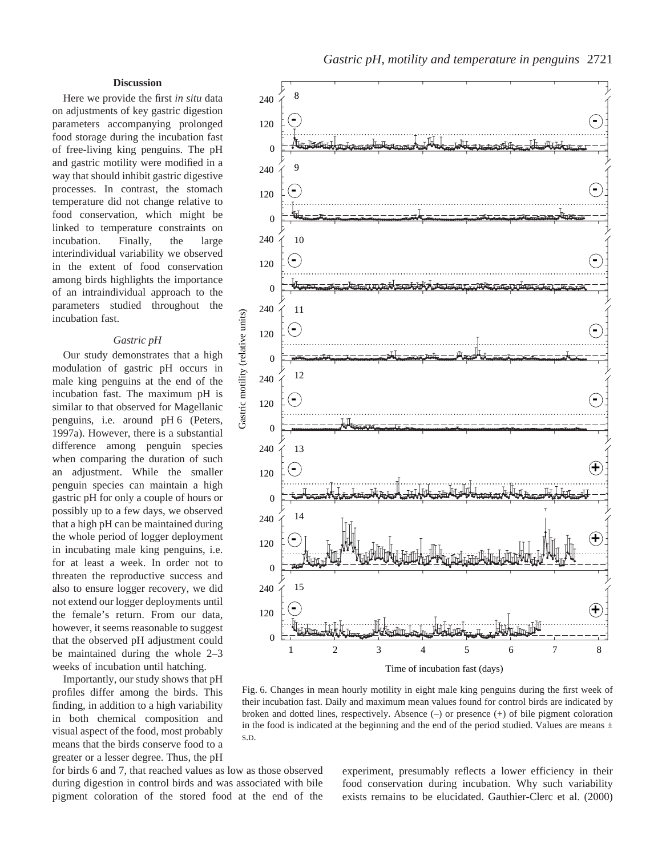# **Discussion**

Here we provide the first *in situ* data on adjustments of key gastric digestion parameters accompanying prolonged food storage during the incubation fast of free-living king penguins. The pH and gastric motility were modified in a way that should inhibit gastric digestive processes. In contrast, the stomach temperature did not change relative to food conservation, which might be linked to temperature constraints on incubation. Finally, the large interindividual variability we observed in the extent of food conservation among birds highlights the importance of an intraindividual approach to the parameters studied throughout the incubation fast.

# *Gastric pH*

Gastric motility (relative units)

tric motility (relative units)

Our study demonstrates that a high modulation of gastric pH occurs in male king penguins at the end of the incubation fast. The maximum pH is similar to that observed for Magellanic penguins, i.e. around pH 6 (Peters, 1997a). However, there is a substantial difference among penguin species when comparing the duration of such an adjustment. While the smaller penguin species can maintain a high gastric pH for only a couple of hours or possibly up to a few days, we observed that a high pH can be maintained during the whole period of logger deployment in incubating male king penguins, i.e. for at least a week. In order not to threaten the reproductive success and also to ensure logger recovery, we did not extend our logger deployments until the female's return. From our data, however, it seems reasonable to suggest that the observed pH adjustment could be maintained during the whole 2–3 weeks of incubation until hatching.

Importantly, our study shows that pH profiles differ among the birds. This finding, in addition to a high variability in both chemical composition and visual aspect of the food, most probably means that the birds conserve food to a greater or a lesser degree. Thus, the pH



Fig. 6. Changes in mean hourly motility in eight male king penguins during the first week of their incubation fast. Daily and maximum mean values found for control birds are indicated by broken and dotted lines, respectively. Absence (–) or presence (+) of bile pigment coloration in the food is indicated at the beginning and the end of the period studied. Values are means  $\pm$ S.D.

for birds 6 and 7, that reached values as low as those observed during digestion in control birds and was associated with bile pigment coloration of the stored food at the end of the experiment, presumably reflects a lower efficiency in their food conservation during incubation. Why such variability exists remains to be elucidated. Gauthier-Clerc et al. (2000)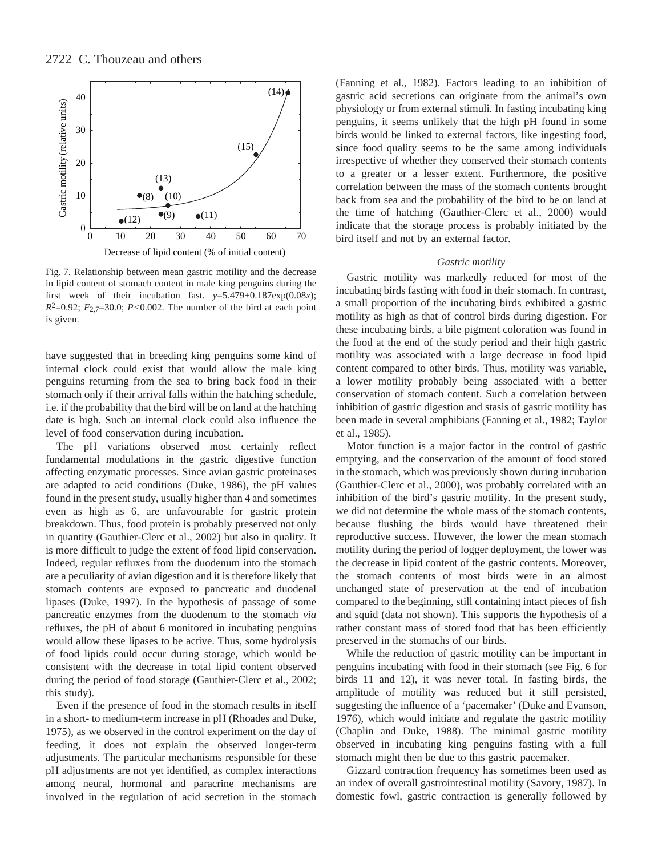

Fig. 7. Relationship between mean gastric motility and the decrease in lipid content of stomach content in male king penguins during the first week of their incubation fast. *y*=5.479+0.187exp(0.08*x*);  $R^2$ =0.92;  $F_{2,7}$ =30.0;  $P$ <0.002. The number of the bird at each point is given.

have suggested that in breeding king penguins some kind of internal clock could exist that would allow the male king penguins returning from the sea to bring back food in their stomach only if their arrival falls within the hatching schedule, i.e. if the probability that the bird will be on land at the hatching date is high. Such an internal clock could also influence the level of food conservation during incubation.

The pH variations observed most certainly reflect fundamental modulations in the gastric digestive function affecting enzymatic processes. Since avian gastric proteinases are adapted to acid conditions (Duke, 1986), the pH values found in the present study, usually higher than 4 and sometimes even as high as 6, are unfavourable for gastric protein breakdown. Thus, food protein is probably preserved not only in quantity (Gauthier-Clerc et al., 2002) but also in quality. It is more difficult to judge the extent of food lipid conservation. Indeed, regular refluxes from the duodenum into the stomach are a peculiarity of avian digestion and it is therefore likely that stomach contents are exposed to pancreatic and duodenal lipases (Duke, 1997). In the hypothesis of passage of some pancreatic enzymes from the duodenum to the stomach *via* refluxes, the pH of about 6 monitored in incubating penguins would allow these lipases to be active. Thus, some hydrolysis of food lipids could occur during storage, which would be consistent with the decrease in total lipid content observed during the period of food storage (Gauthier-Clerc et al., 2002; this study).

Even if the presence of food in the stomach results in itself in a short- to medium-term increase in pH (Rhoades and Duke, 1975), as we observed in the control experiment on the day of feeding, it does not explain the observed longer-term adjustments. The particular mechanisms responsible for these pH adjustments are not yet identified, as complex interactions among neural, hormonal and paracrine mechanisms are involved in the regulation of acid secretion in the stomach (Fanning et al., 1982). Factors leading to an inhibition of gastric acid secretions can originate from the animal's own physiology or from external stimuli. In fasting incubating king penguins, it seems unlikely that the high pH found in some birds would be linked to external factors, like ingesting food, since food quality seems to be the same among individuals irrespective of whether they conserved their stomach contents to a greater or a lesser extent. Furthermore, the positive correlation between the mass of the stomach contents brought back from sea and the probability of the bird to be on land at the time of hatching (Gauthier-Clerc et al., 2000) would indicate that the storage process is probably initiated by the bird itself and not by an external factor.

#### *Gastric motility*

Gastric motility was markedly reduced for most of the incubating birds fasting with food in their stomach. In contrast, a small proportion of the incubating birds exhibited a gastric motility as high as that of control birds during digestion. For these incubating birds, a bile pigment coloration was found in the food at the end of the study period and their high gastric motility was associated with a large decrease in food lipid content compared to other birds. Thus, motility was variable, a lower motility probably being associated with a better conservation of stomach content. Such a correlation between inhibition of gastric digestion and stasis of gastric motility has been made in several amphibians (Fanning et al., 1982; Taylor et al., 1985).

Motor function is a major factor in the control of gastric emptying, and the conservation of the amount of food stored in the stomach, which was previously shown during incubation (Gauthier-Clerc et al., 2000), was probably correlated with an inhibition of the bird's gastric motility. In the present study, we did not determine the whole mass of the stomach contents, because flushing the birds would have threatened their reproductive success. However, the lower the mean stomach motility during the period of logger deployment, the lower was the decrease in lipid content of the gastric contents. Moreover, the stomach contents of most birds were in an almost unchanged state of preservation at the end of incubation compared to the beginning, still containing intact pieces of fish and squid (data not shown). This supports the hypothesis of a rather constant mass of stored food that has been efficiently preserved in the stomachs of our birds.

While the reduction of gastric motility can be important in penguins incubating with food in their stomach (see Fig. 6 for birds 11 and 12), it was never total. In fasting birds, the amplitude of motility was reduced but it still persisted, suggesting the influence of a 'pacemaker' (Duke and Evanson, 1976), which would initiate and regulate the gastric motility (Chaplin and Duke, 1988). The minimal gastric motility observed in incubating king penguins fasting with a full stomach might then be due to this gastric pacemaker.

Gizzard contraction frequency has sometimes been used as an index of overall gastrointestinal motility (Savory, 1987). In domestic fowl, gastric contraction is generally followed by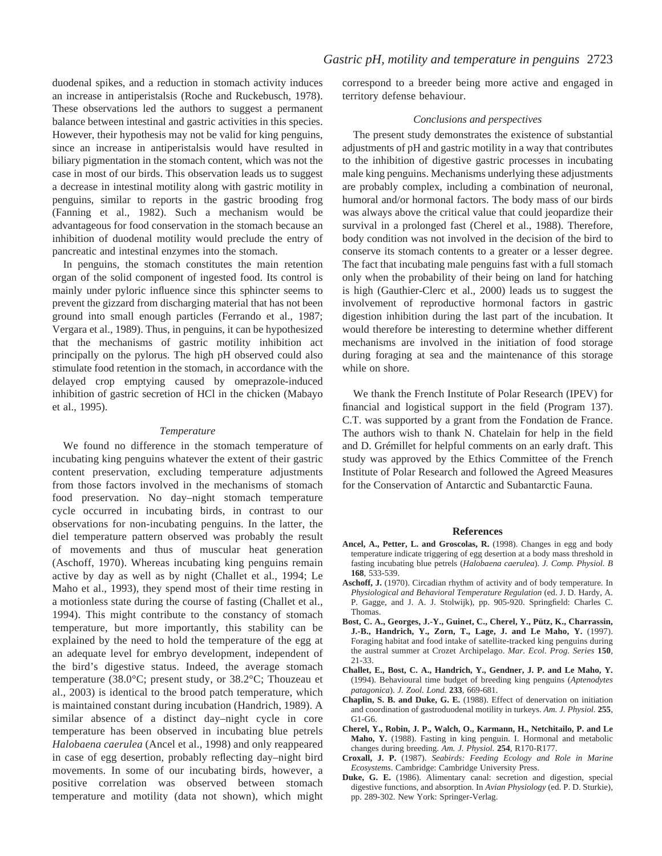duodenal spikes, and a reduction in stomach activity induces an increase in antiperistalsis (Roche and Ruckebusch, 1978). These observations led the authors to suggest a permanent balance between intestinal and gastric activities in this species. However, their hypothesis may not be valid for king penguins, since an increase in antiperistalsis would have resulted in biliary pigmentation in the stomach content, which was not the case in most of our birds. This observation leads us to suggest a decrease in intestinal motility along with gastric motility in penguins, similar to reports in the gastric brooding frog (Fanning et al., 1982). Such a mechanism would be advantageous for food conservation in the stomach because an inhibition of duodenal motility would preclude the entry of pancreatic and intestinal enzymes into the stomach.

In penguins, the stomach constitutes the main retention organ of the solid component of ingested food. Its control is mainly under pyloric influence since this sphincter seems to prevent the gizzard from discharging material that has not been ground into small enough particles (Ferrando et al., 1987; Vergara et al., 1989). Thus, in penguins, it can be hypothesized that the mechanisms of gastric motility inhibition act principally on the pylorus. The high pH observed could also stimulate food retention in the stomach, in accordance with the delayed crop emptying caused by omeprazole-induced inhibition of gastric secretion of HCl in the chicken (Mabayo et al., 1995).

## *Temperature*

We found no difference in the stomach temperature of incubating king penguins whatever the extent of their gastric content preservation, excluding temperature adjustments from those factors involved in the mechanisms of stomach food preservation. No day–night stomach temperature cycle occurred in incubating birds, in contrast to our observations for non-incubating penguins. In the latter, the diel temperature pattern observed was probably the result of movements and thus of muscular heat generation (Aschoff, 1970). Whereas incubating king penguins remain active by day as well as by night (Challet et al., 1994; Le Maho et al., 1993), they spend most of their time resting in a motionless state during the course of fasting (Challet et al., 1994). This might contribute to the constancy of stomach temperature, but more importantly, this stability can be explained by the need to hold the temperature of the egg at an adequate level for embryo development, independent of the bird's digestive status. Indeed, the average stomach temperature (38.0°C; present study, or 38.2°C; Thouzeau et al., 2003) is identical to the brood patch temperature, which is maintained constant during incubation (Handrich, 1989). A similar absence of a distinct day–night cycle in core temperature has been observed in incubating blue petrels *Halobaena caerulea* (Ancel et al., 1998) and only reappeared in case of egg desertion, probably reflecting day–night bird movements. In some of our incubating birds, however, a positive correlation was observed between stomach temperature and motility (data not shown), which might correspond to a breeder being more active and engaged in territory defense behaviour.

### *Conclusions and perspectives*

The present study demonstrates the existence of substantial adjustments of pH and gastric motility in a way that contributes to the inhibition of digestive gastric processes in incubating male king penguins. Mechanisms underlying these adjustments are probably complex, including a combination of neuronal, humoral and/or hormonal factors. The body mass of our birds was always above the critical value that could jeopardize their survival in a prolonged fast (Cherel et al., 1988). Therefore, body condition was not involved in the decision of the bird to conserve its stomach contents to a greater or a lesser degree. The fact that incubating male penguins fast with a full stomach only when the probability of their being on land for hatching is high (Gauthier-Clerc et al., 2000) leads us to suggest the involvement of reproductive hormonal factors in gastric digestion inhibition during the last part of the incubation. It would therefore be interesting to determine whether different mechanisms are involved in the initiation of food storage during foraging at sea and the maintenance of this storage while on shore.

We thank the French Institute of Polar Research (IPEV) for financial and logistical support in the field (Program 137). C.T. was supported by a grant from the Fondation de France. The authors wish to thank N. Chatelain for help in the field and D. Grémillet for helpful comments on an early draft. This study was approved by the Ethics Committee of the French Institute of Polar Research and followed the Agreed Measures for the Conservation of Antarctic and Subantarctic Fauna.

#### **References**

- **Ancel, A., Petter, L. and Groscolas, R.** (1998). Changes in egg and body temperature indicate triggering of egg desertion at a body mass threshold in fasting incubating blue petrels (*Halobaena caerulea*). *J. Comp. Physiol. B* **168**, 533-539.
- **Aschoff, J.** (1970). Circadian rhythm of activity and of body temperature. In *Physiological and Behavioral Temperature Regulation* (ed. J. D. Hardy, A. P. Gagge, and J. A. J. Stolwijk), pp. 905-920. Springfield: Charles C. Thomas.
- **Bost, C. A., Georges, J.-Y., Guinet, C., Cherel, Y., Pütz, K., Charrassin, J.-B., Handrich, Y., Zorn, T., Lage, J. and Le Maho, Y.** (1997). Foraging habitat and food intake of satellite-tracked king penguins during the austral summer at Crozet Archipelago. *Mar. Ecol. Prog. Series* **150**, 21-33.
- **Challet, E., Bost, C. A., Handrich, Y., Gendner, J. P. and Le Maho, Y.** (1994). Behavioural time budget of breeding king penguins (*Aptenodytes patagonica*). *J. Zool. Lond.* **233**, 669-681.
- **Chaplin, S. B. and Duke, G. E.** (1988). Effect of denervation on initiation and coordination of gastroduodenal motility in turkeys. *Am. J. Physiol.* **255**, G1-G6.
- **Cherel, Y., Robin, J. P., Walch, O., Karmann, H., Netchitailo, P. and Le Maho, Y.** (1988). Fasting in king penguin. I. Hormonal and metabolic changes during breeding. *Am. J. Physiol.* **254**, R170-R177.
- **Croxall, J. P.** (1987). *Seabirds: Feeding Ecology and Role in Marine Ecosystems*. Cambridge: Cambridge University Press.
- **Duke, G. E.** (1986). Alimentary canal: secretion and digestion, special digestive functions, and absorption. In *Avian Physiology* (ed. P. D. Sturkie), pp. 289-302. New York: Springer-Verlag.